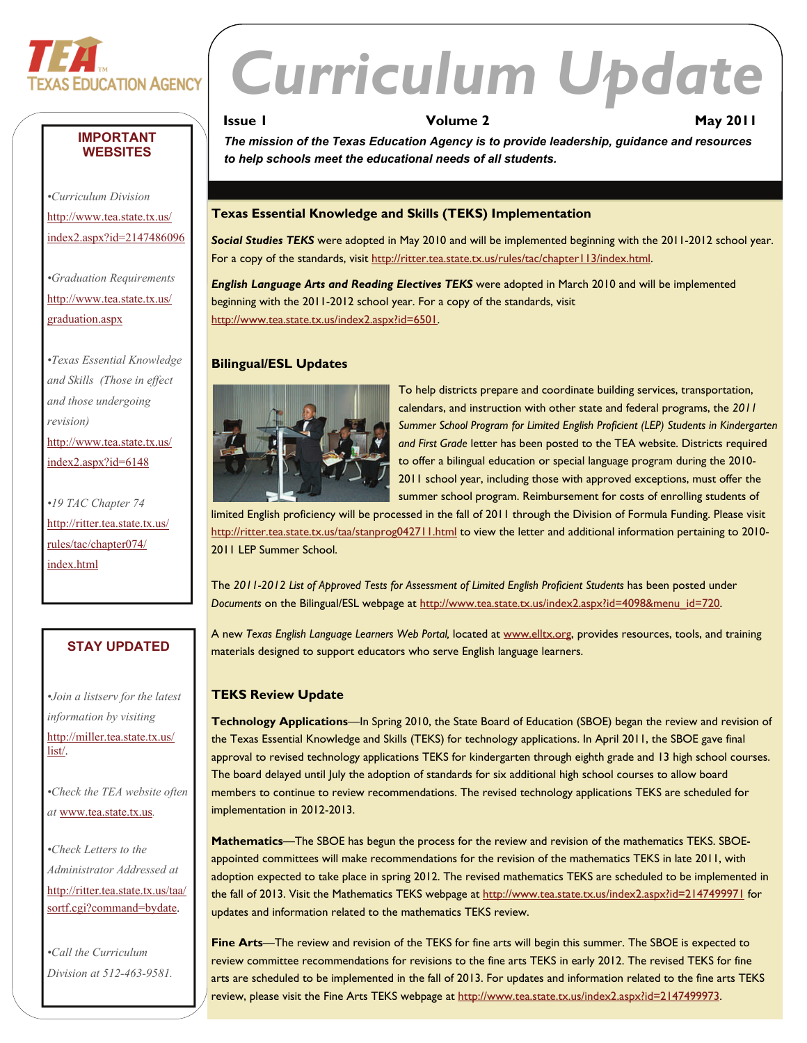

**IMPORTANT WEBSITES** 

*•Curriculum Division*  [http://www.tea.state.tx.us/](http://www.tea.state.tx.us/index2.aspx?id=2147486096) [index2.aspx?id=2147486096](http://www.tea.state.tx.us/index2.aspx?id=2147486096)

*•Graduation Requirements*  [http://www.tea.state.tx.us/](http://www.tea.state.tx.us/graduation.aspx)

*•Texas Essential Knowledge and Skills (Those in effect and those undergoing* 

[http://www.tea.state.tx.us/](http://www.tea.state.tx.us/index2.aspx?id=6148) [index2.aspx?id=6148](http://www.tea.state.tx.us/index2.aspx?id=6148)

*•19 TAC Chapter 74*  [http://ritter.tea.state.tx.](http://ritter.tea.state.tx.us/rules/tac/chapter074/index.html) us/ [rules/tac/chapter074/](http://ritter.tea.state.tx.us/rules/tac/chapter074/index.html)

[graduation.aspx](http://www.tea.state.tx.us/graduation.aspx)

*revision)* 

[index.html](http://ritter.tea.state.tx.us/rules/tac/chapter074/index.html) 

# *Curriculum Update*

```
Issue I Issue I Volume 2 May 2011
```
*The mission of the Texas Education Agency is to provide leadership, guidance and resources to help schools meet the educational needs of all students.* 

# **Texas Essential Knowledge and Skills (TEKS) Implementation**

*Social Studies TEKS* were adopted in May 2010 and will be implemented beginning with the 2011-2012 school year. For a copy of the standards, visit [http://ritter.tea.state.tx.us/rules/tac/chapter113/index.html.](http://ritter.tea.state.tx.us/rules/tac/chapter113/index.html)

*English Language Arts and Reading Electives TEKS* were adopted in March 2010 and will be implemented beginning with the 2011-2012 school year. For a copy of the standards, visit [http://www.tea.state.tx.us/index2.aspx?id=6501.](http://www.tea.state.tx.us/index2.aspx?id=6501)

# **Bilingual/ESL Updates**



To help districts prepare and coordinate building services, transportation, calendars, and instruction with other state and federal programs, the *2011 Summer School Program for Limited English Proficient (LEP) Students in Kindergarten and First Grade* letter has been posted to the TEA website. Districts required to offer a bilingual education or special language program during the 2010- 2011 school year, including those with approved exceptions, must offer the summer school program. Reimbursement for costs of enrolling students of

limited English proficiency will be processed in the fall of 2011 through the Division of Formula Funding. Please visit <http://ritter.tea.state.tx.us/taa/stanprog042711.html> to view the letter and additional information pertaining to 2010-2011 LEP Summer School.

The 2011-2012 List of Approved Tests for Assessment of Limited English Proficient Students has been posted under *Documents* on the Bilingual/ESL webpage at [http://www.tea.state.tx.us/index2.aspx?id=4098&menu\\_id=720.](http://www.tea.state.tx.us/index2.aspx?id=4098&menu_id=720)

A new *Texas English Language Learners Web Portal,* located at [www.elltx.org,](http://www.elltx.org) provides resources, tools, and training materials designed to support educators who serve English language learners.

# **TEKS Review Update**

**Technology Applications**—In Spring 2010, the State Board of Education (SBOE) began the review and revision of the Texas Essential Knowledge and Skills (TEKS) for technology applications. In April 2011, the SBOE gave final approval to revised technology applications TEKS for kindergarten through eighth grade and 13 high school courses. The board delayed until July the adoption of standards for six additional high school courses to allow board members to continue to review recommendations. The revised technology applications TEKS are scheduled for implementation in 2012-2013.

**Mathematics**—The SBOE has begun the process for the review and revision of the mathematics TEKS. SBOEappointed committees will make recommendations for the revision of the mathematics TEKS in late 2011, with adoption expected to take place in spring 2012. The revised mathematics TEKS are scheduled to be implemented in the fall of 2013. Visit the Mathematics TEKS webpage at <http://www.tea.state.tx.us/index2.aspx?id=2147499971>for updates and information related to the mathematics TEKS review.

**Fine Arts**—The review and revision of the TEKS for fine arts will begin this summer. The SBOE is expected to review committee recommendations for revisions to the fine arts TEKS in early 2012. The revised TEKS for fine arts are scheduled to be implemented in the fall of 2013. For updates and information related to the fine arts TEKS review, please visit the Fine Arts TEKS webpage at <http://www.tea.state.tx.us/index2.aspx?id=2147499973>.

# **STAY UPDATED**

*•Join a listserv for the latest information by visiting*  [http://miller.tea.state.tx.us/](http://miller.tea.state.tx.us/list/) [list/.](http://miller.tea.state.tx.us/list/)

*•Check the TEA website often at* [www.tea.state.tx.us](http://www.tea.state.tx.us)*.* 

*•Check Letters to the Administrator Addressed at*  [http://ritter.tea.state.tx.us/taa/](http://ritter.tea.state.tx.us/taa/sortf.cgi?command=bydate) [sortf.cgi?command=bydate.](http://ritter.tea.state.tx.us/taa/sortf.cgi?command=bydate)

*•Call the Curriculum Division at 512-463-9581.*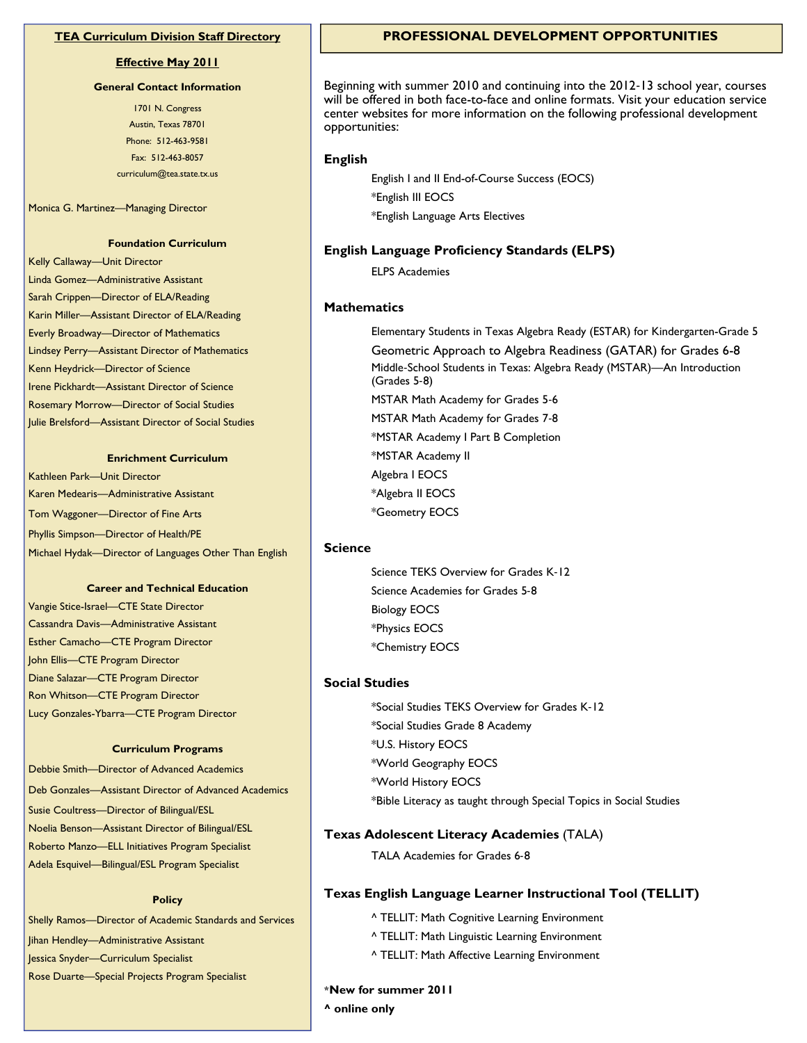## **Effective May 2011**

#### **General Contact Information**

 Fax: 512-463-8057 1701 N. Congress Austin, Texas 78701 Phone: 512-463-9581 curriculum@tea.state.tx.us

Monica G. Martinez—Managing Director

#### **Foundation Curriculum**

Kelly Callaway—Unit Director Linda Gomez—Administrative Assistant Sarah Crippen—Director of ELA/Reading Karin Miller—Assistant Director of ELA/Reading Everly Broadway—Director of Mathematics Lindsey Perry—Assistant Director of Mathematics Kenn Heydrick—Director of Science Irene Pickhardt—Assistant Director of Science Rosemary Morrow—Director of Social Studies Julie Brelsford—Assistant Director of Social Studies

#### **Enrichment Curriculum**

Kathleen Park—Unit Director Karen Medearis—Administrative Assistant Tom Waggoner—Director of Fine Arts Phyllis Simpson—Director of Health/PE Michael Hydak—Director of Languages Other Than English

#### **Career and Technical Education**

 Cassandra Davis—Administrative Assistant Vangie Stice-Israel—CTE State Director Esther Camacho—CTE Program Director John Ellis—CTE Program Director Diane Salazar—CTE Program Director Ron Whitson—CTE Program Director Lucy Gonzales-Ybarra—CTE Program Director

#### **Curriculum Programs**

Debbie Smith—Director of Advanced Academics Deb Gonzales—Assistant Director of Advanced Academics Susie Coultress—Director of Bilingual/ESL Noelia Benson—Assistant Director of Bilingual/ESL Roberto Manzo—ELL Initiatives Program Specialist Adela Esquivel—Bilingual/ESL Program Specialist

#### **Policy**

Shelly Ramos—Director of Academic Standards and Services Jihan Hendley—Administrative Assistant Jessica Snyder—Curriculum Specialist Rose Duarte—Special Projects Program Specialist

## **TEA Curriculum Division Staff Directory PROFESSIONAL DEVELOPMENT OPPORTUNITIES**

Beginning with summer 2010 and continuing into the 2012‐13 school year, courses will be offered in both face-to-face and online formats. Visit your education service center websites for more information on the following professional development opportunities:

#### **English**

English I and II End-of-Course Success (EOCS) \*English III EOCS \*English Language Arts Electives

### **English Language Proficiency Standards (ELPS)**

ELPS Academies

#### **Mathematics**

Elementary Students in Texas Algebra Ready (ESTAR) for Kindergarten-Grade 5 Geometric Approach to Algebra Readiness (GATAR) for Grades 6-8 Middle‐School Students in Texas: Algebra Ready (MSTAR)—An Introduction (Grades 5‐8) MSTAR Math Academy for Grades 5‐6 MSTAR Math Academy for Grades 7‐8 \*MSTAR Academy I Part B Completion \*MSTAR Academy II Algebra I EOCS \*Algebra II EOCS \*Geometry EOCS

#### **Science**

Science TEKS Overview for Grades K‐12 Science Academies for Grades 5‐8 Biology EOCS \*Physics EOCS \*Chemistry EOCS

## **Social Studies**

\*Social Studies TEKS Overview for Grades K‐12 \*Social Studies Grade 8 Academy \*U.S. History EOCS \*World Geography EOCS \*World History EOCS \*Bible Literacy as taught through Special Topics in Social Studies

#### **Texas Adolescent Literacy Academies** (TALA)

TALA Academies for Grades 6‐8

#### **Texas English Language Learner Instructional Tool (TELLIT)**

^ TELLIT: Math Cognitive Learning Environment

- ^ TELLIT: Math Linguistic Learning Environment
- ^ TELLIT: Math Affective Learning Environment

#### **\*New for summer 2011**

**^ online only**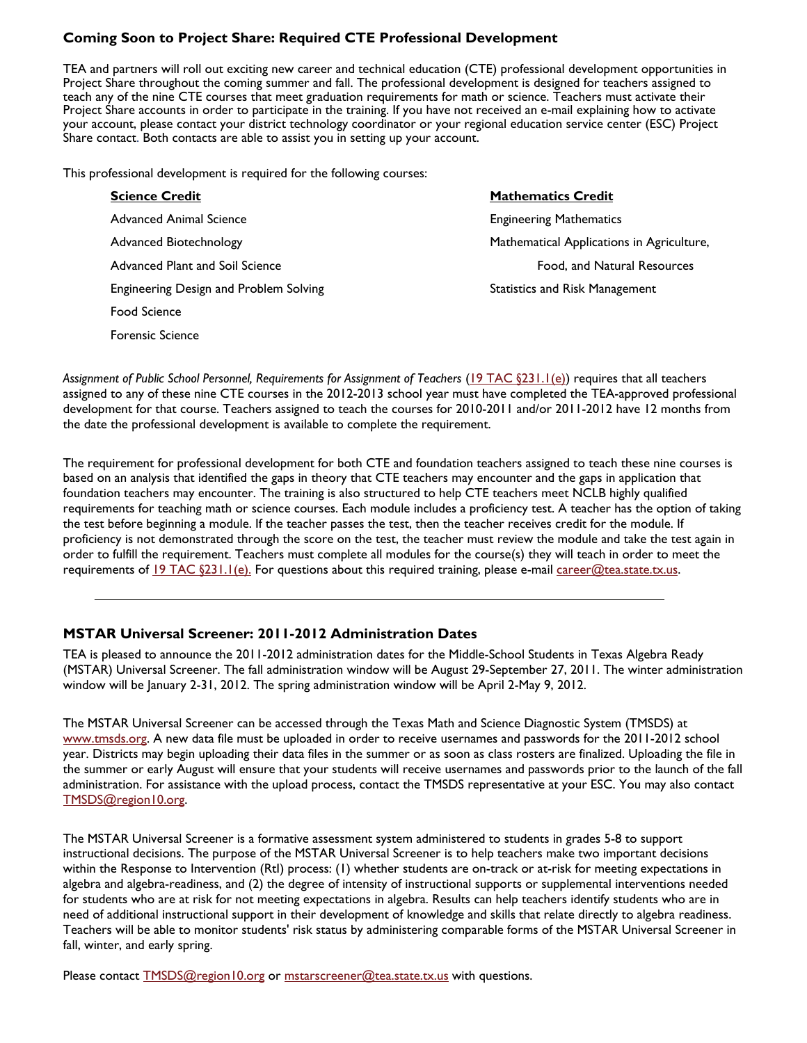# **Coming Soon to Project Share: Required CTE Professional Development**

TEA and partners will roll out exciting new career and technical education (CTE) professional development opportunities in Project Share throughout the coming summer and fall. The professional development is designed for teachers assigned to teach any of the nine CTE courses that meet graduation requirements for math or science. Teachers must activate their Project Share accounts in order to participate in the training. If you have not received an e-mail explaining how to activate your account, please contact your district technology coordinator or your regional education service center (ESC) Project Share contact. Both contacts are able to assist you in setting up your account.

This professional development is required for the following courses:

Forensic Science

| <b>Science Credit</b>                  | <b>Mathematics Credit</b>                 |  |
|----------------------------------------|-------------------------------------------|--|
| Advanced Animal Science                | <b>Engineering Mathematics</b>            |  |
| Advanced Biotechnology                 | Mathematical Applications in Agriculture, |  |
| Advanced Plant and Soil Science        | Food, and Natural Resources               |  |
| Engineering Design and Problem Solving | <b>Statistics and Risk Management</b>     |  |
| <b>Food Science</b>                    |                                           |  |

*Assignment of Public School Personnel, Requirements for Assignment of Teachers* ([19 TAC §231.1\(e\)\)](http://info.sos.state.tx.us/fids/201004175-1.pdf) requires that all teachers assigned to any of these nine CTE courses in the 2012-2013 school year must have completed the TEA-approved professional development for that course. Teachers assigned to teach the courses for 2010-2011 and/or 2011-2012 have 12 months from the date the professional development is available to complete the requirement.

The requirement for professional development for both CTE and foundation teachers assigned to teach these nine courses is based on an analysis that identified the gaps in theory that CTE teachers may encounter and the gaps in application that foundation teachers may encounter. The training is also structured to help CTE teachers meet NCLB highly qualified requirements for teaching math or science courses. Each module includes a proficiency test. A teacher has the option of taking the test before beginning a module. If the teacher passes the test, then the teacher receives credit for the module. If proficiency is not demonstrated through the score on the test, the teacher must review the module and take the test again in order to fulfill the requirement. Teachers must complete all modules for the course(s) they will teach in order to meet the requirements of  $19$  TAC  $$231.1(e)$ . For questions about this required training, please e-mail [career@tea.state.tx.us](mailto:career@tea.state.tx.us).

# **MSTAR Universal Screener: 2011-2012 Administration Dates**

window will be January 2-31, 2012. The spring administration window will be April 2-May 9, 2012. TEA is pleased to announce the 2011-2012 administration dates for the Middle-School Students in Texas Algebra Ready (MSTAR) Universal Screener. The fall administration window will be August 29-September 27, 2011. The winter administration

The MSTAR Universal Screener can be accessed through the Texas Math and Science Diagnostic System (TMSDS) at [www.tmsds.org](http://www.tmsds.org). A new data file must be uploaded in order to receive usernames and passwords for the 2011-2012 school year. Districts may begin uploading their data files in the summer or as soon as class rosters are finalized. Uploading the file in the summer or early August will ensure that your students will receive usernames and passwords prior to the launch of the fall administration. For assistance with the upload process, contact the TMSDS representative at your ESC. You may also contact [TMSDS@region10.org.](mailto:TMSDS@region10.org)

The MSTAR Universal Screener is a formative assessment system administered to students in grades 5-8 to support instructional decisions. The purpose of the MSTAR Universal Screener is to help teachers make two important decisions within the Response to Intervention (RtI) process: (1) whether students are on-track or at-risk for meeting expectations in algebra and algebra-readiness, and (2) the degree of intensity of instructional supports or supplemental interventions needed for students who are at risk for not meeting expectations in algebra. Results can help teachers identify students who are in need of additional instructional support in their development of knowledge and skills that relate directly to algebra readiness. Teachers will be able to monitor students' risk status by administering comparable forms of the MSTAR Universal Screener in fall, winter, and early spring.

Please contact [TMSDS@region10.org](mailto:TMSDS@region10.org) or [mstarscreener@tea.state.tx.us](mailto:mstarscreener@tea.state.tx.us) with questions.